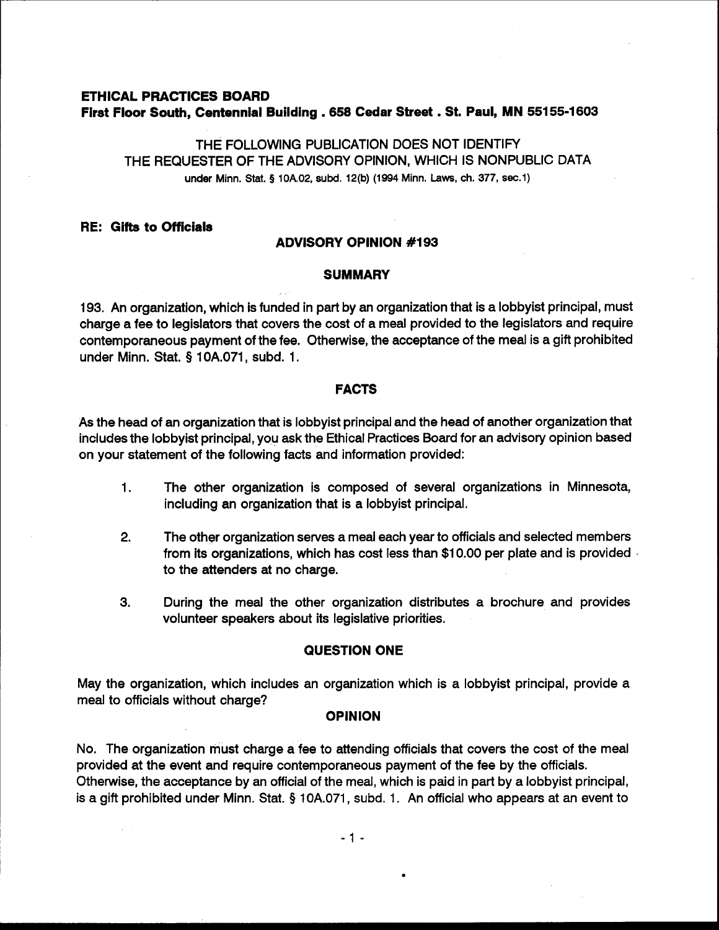# **ETHICAL PRACTICES BOARD First Floor South, Centennial Building** . **658 Cedar Street** . **St. Paul, MN 551 55-1603**

THE FOLLOWING PUBLICATION DOES NOT IDENTIFY THE REQUESTER OF THE ADVISORY OPINION, WHICH IS NONPUBLIC DATA under Minn. Stat. **9 10A.02, subd. 12(b) (1994 Minn. Laws, ch. 377, sec.1)** 

## **RE: Gifts to Officials**

### **ADVISORY OPINION #I93**

#### **SUMMARY**

193. An organization, which is funded in part by an organization that is a lobbyist principal, must charge a fee to legislators that covers the cost of a meal provided to the legislators and require contemporaneous payment of the fee. Otherwise, the acceptance of the meal is a gift prohibited under Minn. Stat. § 10A.071, subd. 1.

## **FACTS**

As the head of an organization that is lobbyist principal and the head of another organization that includes the lobbyist principal, you ask the Ethical Practices Board for an advisory opinion based on your statement of the following facts and information provided:

- 1. The other organization is composed of several organizations in Minnesota, including an organization that is a lobbyist principal.
- **2.** The other organization serves a meal each year to officials and selected members from its organizations, which has cost less than \$10.00 per plate and is provided  $\triangle$ to the attenders at no charge.
- **3.** During the meal the other organization distributes a brochure and provides volunteer speakers about its legislative priorities.

### **QUESTION ONE**

May the organization, which includes an organization which is a lobbyist principal, provide a meal to officials without charge?

#### **OPINION**

No. The organization must charge a fee to attending officials that covers the cost of the meal provided at the event and require contemporaneous payment of the fee by the officials. Otherwise, the acceptance by an official of the meal, which is paid in part by a lobbyist principal, is a gift prohibited under Minn. Stat. § 10A.071, subd. 1. An official who appears at an event to

 $-1 -$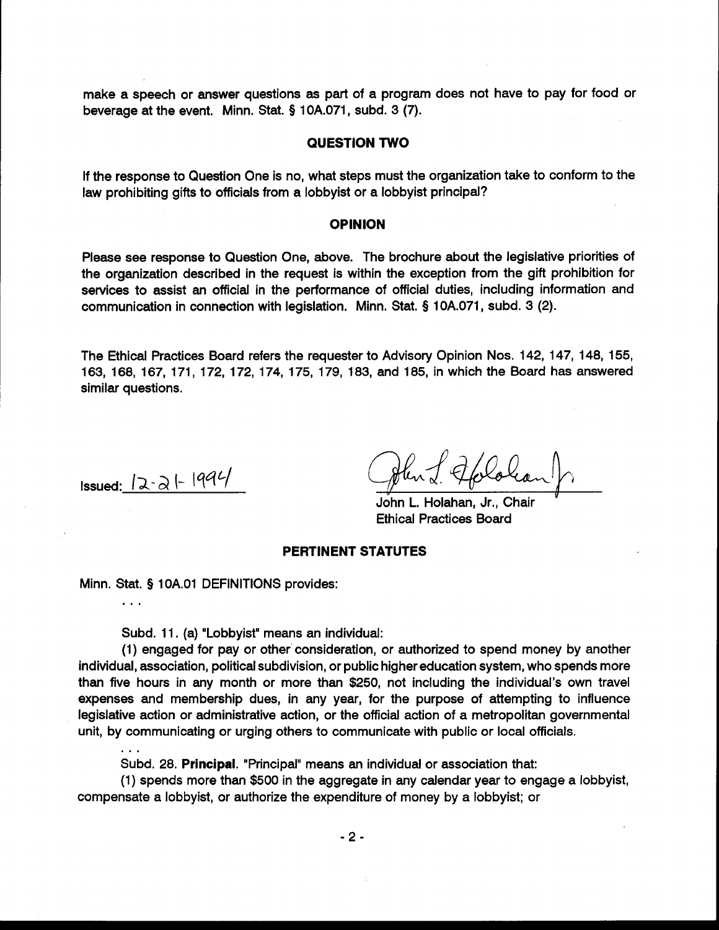make a speech or answer questions as part of a program does not have to pay for food or beverage at the event. Minn. Stat. § 10A.071, subd. 3 (7).

### **QUESTION TWO**

If the response to Question One is no, what steps must the organization take to conform to the law prohibiting gifts to officials from a lobbyist or a lobbyist principal?

#### **OPINION**

Please see response to Question One, above. The brochure about the legislative priorities of the organization described in the request is within the exception from the gift prohibition for services to assist an official in the performance of official duties, including information and communication in connection with legislation. Minn. Stat. **5** 10A.071, subd. 3 (2).

The Ethical Practices Board refers the requester to Advisory Opinion Nos. 142, 147, 148, 155, 163, 168, 167, 171, 172, 172, 174, 175, 179, 183, and 185, in which the Board has answered similar questions.

**Issued:**  $|2 \cdot 2| - |994|$ 

...

. . .

John L. Holahan, Jr., Chair Ethical Practices Board

## **PERTINENT STATUTES**

Minn. Stat. § 10A.O1 DEFINITIONS provides:

Subd. 11. (a) "Lobbyist" means an individual:

(1) engaged for pay or other consideration, or authorized to spend money by another individual, association, political subdivision, or public higher education system, who spends more than five hours in any month or more than \$250, not including the individual's own travel expenses and membership dues, in any year, for the purpose of attempting to influence legislative action or administrative action, or the official action of a metropolitan governmental unit, by communicating or urging others to communicate with public or local officials.

Subd. 28. **Principal.** "Principal" means an individual or association that:

(1) spends more than \$500 in the aggregate in any calendar year to engage a lobbyist, compensate a lobbyist, or authorize the expenditure of money by a lobbyist; or